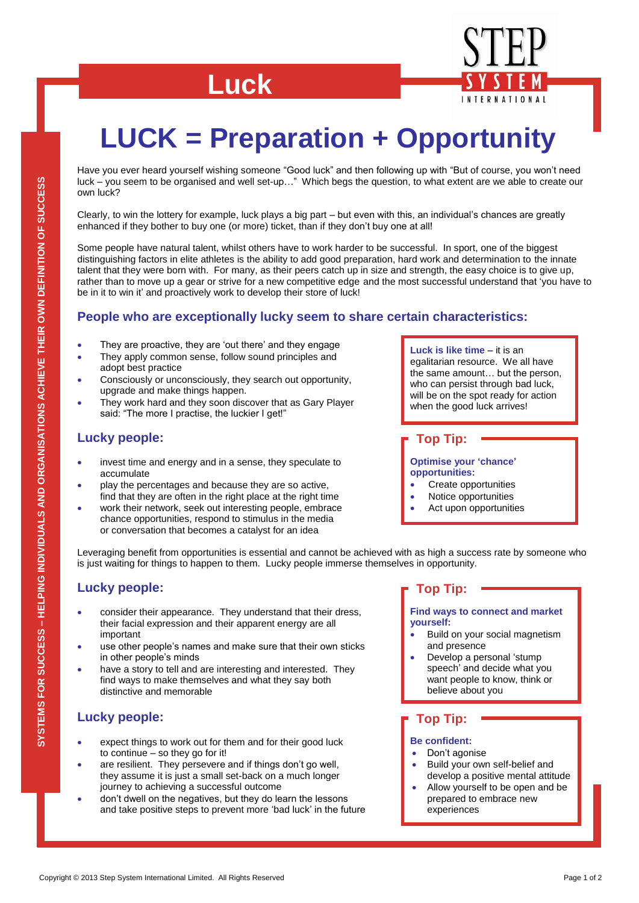# **Luck**



Have you ever heard yourself wishing someone "Good luck" and then following up with "But of course, you won"t need luck – you seem to be organised and well set-up…" Which begs the question, to what extent are we able to create our own luck?

Clearly, to win the lottery for example, luck plays a big part – but even with this, an individual"s chances are greatly enhanced if they bother to buy one (or more) ticket, than if they don"t buy one at all!

Some people have natural talent, whilst others have to work harder to be successful. In sport, one of the biggest distinguishing factors in elite athletes is the ability to add good preparation, hard work and determination to the innate talent that they were born with. For many, as their peers catch up in size and strength, the easy choice is to give up, rather than to move up a gear or strive for a new competitive edge and the most successful understand that "you have to be in it to win it' and proactively work to develop their store of luck!

## **People who are exceptionally lucky seem to share certain characteristics:**

- They are proactive, they are "out there" and they engage
- They apply common sense, follow sound principles and adopt best practice
- Consciously or unconsciously, they search out opportunity, upgrade and make things happen.
- They work hard and they soon discover that as Gary Player said: "The more I practise, the luckier I get!"

## **Lucky people:**

- invest time and energy and in a sense, they speculate to accumulate
- play the percentages and because they are so active, find that they are often in the right place at the right time
- work their network, seek out interesting people, embrace chance opportunities, respond to stimulus in the media or conversation that becomes a catalyst for an idea

**Luck is like time –** it is an egalitarian resource. We all have the same amount… but the person, who can persist through bad luck, will be on the spot ready for action when the good luck arrives!

**Top Tip:**

**Optimise your 'chance' opportunities:**

- Create opportunities
- Notice opportunities
- Act upon opportunities

Leveraging benefit from opportunities is essential and cannot be achieved with as high a success rate by someone who is just waiting for things to happen to them. Lucky people immerse themselves in opportunity.

## **Lucky people:**

- consider their appearance. They understand that their dress, their facial expression and their apparent energy are all important
- use other people"s names and make sure that their own sticks in other people"s minds
- have a story to tell and are interesting and interested. They find ways to make themselves and what they say both distinctive and memorable

## **Lucky people:**

- expect things to work out for them and for their good luck to continue – so they go for it!
- Copyright © 2013 Step System International Limited. All Rights Reserved<br>
Copyright © 2013 Step System International Limited. All Rights Reserved Page 1 of 2<br>
Copyright © 2013 Step System International Limited. All Rights R are resilient. They persevere and if things don't go well. they assume it is just a small set-back on a much longer journey to achieving a successful outcome
	- don"t dwell on the negatives, but they do learn the lessons and take positive steps to prevent more "bad luck" in the future

## **Top Tip:**

**Find ways to connect and market yourself:**

- Build on your social magnetism and presence
- Develop a personal "stump speech" and decide what you want people to know, think or believe about you

## **Top Tip:**

#### **Be confident:**

- Don"t agonise
- Build your own self-belief and develop a positive mental attitude
- Allow yourself to be open and be prepared to embrace new experiences